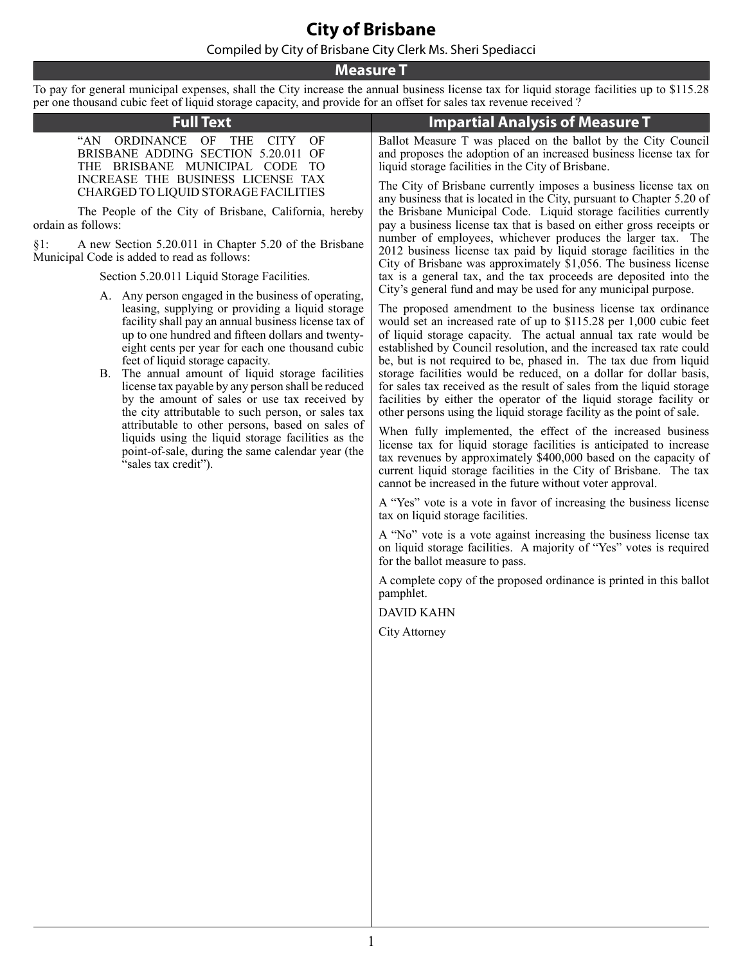### **City of Brisbane**

#### Compiled by City of Brisbane City Clerk Ms. Sheri Spediacci

### **Measure T**

To pay for general municipal expenses, shall the City increase the annual business license tax for liquid storage facilities up to \$115.28 per one thousand cubic feet of liquid storage capacity, and provide for an offset for sales tax revenue received ?

| <b>Full Text</b>                                                                                                                                                                                                                                                                                                                                                                                                                                                                                                                                                                   | <b>Impartial Analysis of Measure T</b>                                                                                                                                                                                                                                                                                                                                                                                                                                                                                                                                                                                                                                                                                                                                                                                                                                                                                                                                                                                                                                                                                                                                                                                                                                                    |
|------------------------------------------------------------------------------------------------------------------------------------------------------------------------------------------------------------------------------------------------------------------------------------------------------------------------------------------------------------------------------------------------------------------------------------------------------------------------------------------------------------------------------------------------------------------------------------|-------------------------------------------------------------------------------------------------------------------------------------------------------------------------------------------------------------------------------------------------------------------------------------------------------------------------------------------------------------------------------------------------------------------------------------------------------------------------------------------------------------------------------------------------------------------------------------------------------------------------------------------------------------------------------------------------------------------------------------------------------------------------------------------------------------------------------------------------------------------------------------------------------------------------------------------------------------------------------------------------------------------------------------------------------------------------------------------------------------------------------------------------------------------------------------------------------------------------------------------------------------------------------------------|
| "AN ORDINANCE OF THE CITY<br>OF<br>BRISBANE ADDING SECTION 5.20.011 OF<br>THE BRISBANE MUNICIPAL CODE TO                                                                                                                                                                                                                                                                                                                                                                                                                                                                           | Ballot Measure T was placed on the ballot by the City Council<br>and proposes the adoption of an increased business license tax for<br>liquid storage facilities in the City of Brisbane.                                                                                                                                                                                                                                                                                                                                                                                                                                                                                                                                                                                                                                                                                                                                                                                                                                                                                                                                                                                                                                                                                                 |
| INCREASE THE BUSINESS LICENSE TAX<br>CHARGED TO LIQUID STORAGE FACILITIES<br>The People of the City of Brisbane, California, hereby<br>ordain as follows:<br>§1:<br>A new Section 5.20.011 in Chapter 5.20 of the Brisbane                                                                                                                                                                                                                                                                                                                                                         | The City of Brisbane currently imposes a business license tax on<br>any business that is located in the City, pursuant to Chapter 5.20 of<br>the Brisbane Municipal Code. Liquid storage facilities currently<br>pay a business license tax that is based on either gross receipts or<br>number of employees, whichever produces the larger tax. The<br>2012 business license tax paid by liquid storage facilities in the<br>City of Brisbane was approximately \$1,056. The business license<br>tax is a general tax, and the tax proceeds are deposited into the<br>City's general fund and may be used for any municipal purpose.<br>The proposed amendment to the business license tax ordinance<br>would set an increased rate of up to \$115.28 per 1,000 cubic feet<br>of liquid storage capacity. The actual annual tax rate would be<br>established by Council resolution, and the increased tax rate could<br>be, but is not required to be, phased in. The tax due from liquid<br>storage facilities would be reduced, on a dollar for dollar basis,<br>for sales tax received as the result of sales from the liquid storage<br>facilities by either the operator of the liquid storage facility or<br>other persons using the liquid storage facility as the point of sale. |
| Municipal Code is added to read as follows:<br>Section 5.20.011 Liquid Storage Facilities.                                                                                                                                                                                                                                                                                                                                                                                                                                                                                         |                                                                                                                                                                                                                                                                                                                                                                                                                                                                                                                                                                                                                                                                                                                                                                                                                                                                                                                                                                                                                                                                                                                                                                                                                                                                                           |
| A. Any person engaged in the business of operating,<br>leasing, supplying or providing a liquid storage<br>facility shall pay an annual business license tax of<br>up to one hundred and fifteen dollars and twenty-<br>eight cents per year for each one thousand cubic<br>feet of liquid storage capacity.<br>B. The annual amount of liquid storage facilities<br>license tax payable by any person shall be reduced<br>by the amount of sales or use tax received by<br>the city attributable to such person, or sales tax<br>attributable to other persons, based on sales of |                                                                                                                                                                                                                                                                                                                                                                                                                                                                                                                                                                                                                                                                                                                                                                                                                                                                                                                                                                                                                                                                                                                                                                                                                                                                                           |
| liquids using the liquid storage facilities as the<br>point-of-sale, during the same calendar year (the<br>"sales tax credit").                                                                                                                                                                                                                                                                                                                                                                                                                                                    | When fully implemented, the effect of the increased business<br>license tax for liquid storage facilities is anticipated to increase<br>tax revenues by approximately \$400,000 based on the capacity of<br>current liquid storage facilities in the City of Brisbane. The tax<br>cannot be increased in the future without voter approval.                                                                                                                                                                                                                                                                                                                                                                                                                                                                                                                                                                                                                                                                                                                                                                                                                                                                                                                                               |
|                                                                                                                                                                                                                                                                                                                                                                                                                                                                                                                                                                                    | A "Yes" vote is a vote in favor of increasing the business license<br>tax on liquid storage facilities.                                                                                                                                                                                                                                                                                                                                                                                                                                                                                                                                                                                                                                                                                                                                                                                                                                                                                                                                                                                                                                                                                                                                                                                   |
|                                                                                                                                                                                                                                                                                                                                                                                                                                                                                                                                                                                    | A "No" vote is a vote against increasing the business license tax<br>on liquid storage facilities. A majority of "Yes" votes is required<br>for the ballot measure to pass.                                                                                                                                                                                                                                                                                                                                                                                                                                                                                                                                                                                                                                                                                                                                                                                                                                                                                                                                                                                                                                                                                                               |
|                                                                                                                                                                                                                                                                                                                                                                                                                                                                                                                                                                                    | A complete copy of the proposed ordinance is printed in this ballot<br>pamphlet.                                                                                                                                                                                                                                                                                                                                                                                                                                                                                                                                                                                                                                                                                                                                                                                                                                                                                                                                                                                                                                                                                                                                                                                                          |
|                                                                                                                                                                                                                                                                                                                                                                                                                                                                                                                                                                                    | <b>DAVID KAHN</b><br>City Attorney                                                                                                                                                                                                                                                                                                                                                                                                                                                                                                                                                                                                                                                                                                                                                                                                                                                                                                                                                                                                                                                                                                                                                                                                                                                        |
|                                                                                                                                                                                                                                                                                                                                                                                                                                                                                                                                                                                    |                                                                                                                                                                                                                                                                                                                                                                                                                                                                                                                                                                                                                                                                                                                                                                                                                                                                                                                                                                                                                                                                                                                                                                                                                                                                                           |
|                                                                                                                                                                                                                                                                                                                                                                                                                                                                                                                                                                                    |                                                                                                                                                                                                                                                                                                                                                                                                                                                                                                                                                                                                                                                                                                                                                                                                                                                                                                                                                                                                                                                                                                                                                                                                                                                                                           |
|                                                                                                                                                                                                                                                                                                                                                                                                                                                                                                                                                                                    |                                                                                                                                                                                                                                                                                                                                                                                                                                                                                                                                                                                                                                                                                                                                                                                                                                                                                                                                                                                                                                                                                                                                                                                                                                                                                           |
|                                                                                                                                                                                                                                                                                                                                                                                                                                                                                                                                                                                    |                                                                                                                                                                                                                                                                                                                                                                                                                                                                                                                                                                                                                                                                                                                                                                                                                                                                                                                                                                                                                                                                                                                                                                                                                                                                                           |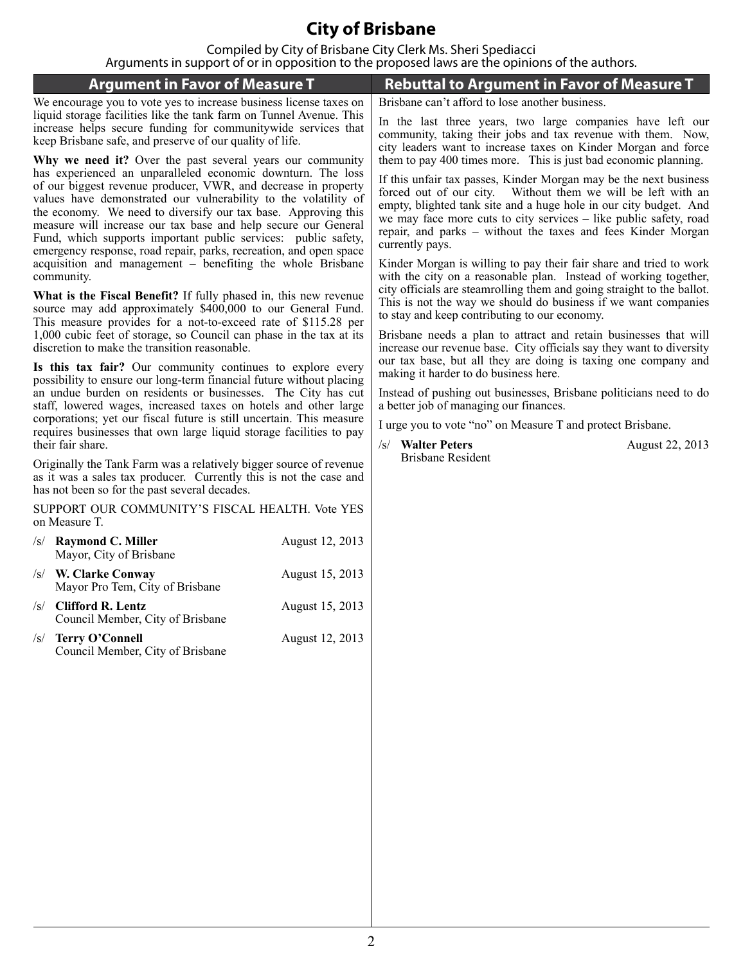# **City of Brisbane**

Compiled by City of Brisbane City Clerk Ms. Sheri Spediacci Arguments in support of or in opposition to the proposed laws are the opinions of the authors.

|                                                                                                                                                                                                                                                                                                                                               | <b>Argument in Favor of Measure T</b>                                                                                                                                                                                                                                                                                                                                                                                                                                                                                                                    |                 | <b>Rebuttal to Argument in Favor of Measure T</b>                                                                                                                                                                                                                                                                                                                                                                                                                                                        |
|-----------------------------------------------------------------------------------------------------------------------------------------------------------------------------------------------------------------------------------------------------------------------------------------------------------------------------------------------|----------------------------------------------------------------------------------------------------------------------------------------------------------------------------------------------------------------------------------------------------------------------------------------------------------------------------------------------------------------------------------------------------------------------------------------------------------------------------------------------------------------------------------------------------------|-----------------|----------------------------------------------------------------------------------------------------------------------------------------------------------------------------------------------------------------------------------------------------------------------------------------------------------------------------------------------------------------------------------------------------------------------------------------------------------------------------------------------------------|
|                                                                                                                                                                                                                                                                                                                                               | We encourage you to vote yes to increase business license taxes on<br>liquid storage facilities like the tank farm on Tunnel Avenue. This<br>increase helps secure funding for community wide services that                                                                                                                                                                                                                                                                                                                                              |                 | Brisbane can't afford to lose another business.<br>In the last three years, two large companies have left our<br>community, taking their jobs and tax revenue with them. Now,                                                                                                                                                                                                                                                                                                                            |
|                                                                                                                                                                                                                                                                                                                                               | keep Brisbane safe, and preserve of our quality of life.<br>Why we need it? Over the past several years our community                                                                                                                                                                                                                                                                                                                                                                                                                                    |                 | city leaders want to increase taxes on Kinder Morgan and force<br>them to pay 400 times more. This is just bad economic planning.                                                                                                                                                                                                                                                                                                                                                                        |
|                                                                                                                                                                                                                                                                                                                                               | has experienced an unparalleled economic downturn. The loss<br>of our biggest revenue producer, VWR, and decrease in property<br>values have demonstrated our vulnerability to the volatility of<br>the economy. We need to diversify our tax base. Approving this<br>measure will increase our tax base and help secure our General<br>Fund, which supports important public services: public safety,<br>emergency response, road repair, parks, recreation, and open space<br>acquisition and management – benefiting the whole Brisbane<br>community. |                 | If this unfair tax passes, Kinder Morgan may be the next business<br>forced out of our city. Without them we will be left with an<br>empty, blighted tank site and a huge hole in our city budget. And<br>we may face more cuts to city services – like public safety, road<br>repair, and parks – without the taxes and fees Kinder Morgan<br>currently pays.<br>Kinder Morgan is willing to pay their fair share and tried to work<br>with the city on a reasonable plan. Instead of working together, |
|                                                                                                                                                                                                                                                                                                                                               | What is the Fiscal Benefit? If fully phased in, this new revenue<br>source may add approximately \$400,000 to our General Fund.<br>This measure provides for a not-to-exceed rate of \$115.28 per                                                                                                                                                                                                                                                                                                                                                        |                 | city officials are steamrolling them and going straight to the ballot.<br>This is not the way we should do business if we want companies<br>to stay and keep contributing to our economy.                                                                                                                                                                                                                                                                                                                |
| 1,000 cubic feet of storage, so Council can phase in the tax at its<br>discretion to make the transition reasonable.                                                                                                                                                                                                                          |                                                                                                                                                                                                                                                                                                                                                                                                                                                                                                                                                          |                 | Brisbane needs a plan to attract and retain businesses that will<br>increase our revenue base. City officials say they want to diversity<br>our tax base, but all they are doing is taxing one company and<br>making it harder to do business here.<br>Instead of pushing out businesses, Brisbane politicians need to do<br>a better job of managing our finances.                                                                                                                                      |
| Is this tax fair? Our community continues to explore every<br>possibility to ensure our long-term financial future without placing<br>an undue burden on residents or businesses. The City has cut<br>staff, lowered wages, increased taxes on hotels and other large<br>corporations; yet our fiscal future is still uncertain. This measure |                                                                                                                                                                                                                                                                                                                                                                                                                                                                                                                                                          |                 |                                                                                                                                                                                                                                                                                                                                                                                                                                                                                                          |
|                                                                                                                                                                                                                                                                                                                                               | requires businesses that own large liquid storage facilities to pay<br>their fair share.                                                                                                                                                                                                                                                                                                                                                                                                                                                                 |                 | I urge you to vote "no" on Measure T and protect Brisbane.<br>/s/ Walter Peters<br>August 22, 2013                                                                                                                                                                                                                                                                                                                                                                                                       |
| Originally the Tank Farm was a relatively bigger source of revenue<br>as it was a sales tax producer. Currently this is not the case and<br>has not been so for the past several decades.                                                                                                                                                     |                                                                                                                                                                                                                                                                                                                                                                                                                                                                                                                                                          |                 | <b>Brisbane Resident</b>                                                                                                                                                                                                                                                                                                                                                                                                                                                                                 |
| SUPPORT OUR COMMUNITY'S FISCAL HEALTH. Vote YES<br>on Measure T.                                                                                                                                                                                                                                                                              |                                                                                                                                                                                                                                                                                                                                                                                                                                                                                                                                                          |                 |                                                                                                                                                                                                                                                                                                                                                                                                                                                                                                          |
|                                                                                                                                                                                                                                                                                                                                               | /s/ Raymond C. Miller<br>Mayor, City of Brisbane                                                                                                                                                                                                                                                                                                                                                                                                                                                                                                         | August 12, 2013 |                                                                                                                                                                                                                                                                                                                                                                                                                                                                                                          |
|                                                                                                                                                                                                                                                                                                                                               | /s/ W. Clarke Conway<br>Mayor Pro Tem, City of Brisbane                                                                                                                                                                                                                                                                                                                                                                                                                                                                                                  | August 15, 2013 |                                                                                                                                                                                                                                                                                                                                                                                                                                                                                                          |
| $\sqrt{s}$                                                                                                                                                                                                                                                                                                                                    | <b>Clifford R. Lentz</b><br>Council Member, City of Brisbane                                                                                                                                                                                                                                                                                                                                                                                                                                                                                             | August 15, 2013 |                                                                                                                                                                                                                                                                                                                                                                                                                                                                                                          |
| $\sqrt{s}$                                                                                                                                                                                                                                                                                                                                    | Terry O'Connell<br>Council Member, City of Brisbane                                                                                                                                                                                                                                                                                                                                                                                                                                                                                                      | August 12, 2013 |                                                                                                                                                                                                                                                                                                                                                                                                                                                                                                          |
|                                                                                                                                                                                                                                                                                                                                               |                                                                                                                                                                                                                                                                                                                                                                                                                                                                                                                                                          |                 |                                                                                                                                                                                                                                                                                                                                                                                                                                                                                                          |
|                                                                                                                                                                                                                                                                                                                                               |                                                                                                                                                                                                                                                                                                                                                                                                                                                                                                                                                          |                 |                                                                                                                                                                                                                                                                                                                                                                                                                                                                                                          |
|                                                                                                                                                                                                                                                                                                                                               |                                                                                                                                                                                                                                                                                                                                                                                                                                                                                                                                                          |                 |                                                                                                                                                                                                                                                                                                                                                                                                                                                                                                          |
|                                                                                                                                                                                                                                                                                                                                               |                                                                                                                                                                                                                                                                                                                                                                                                                                                                                                                                                          |                 |                                                                                                                                                                                                                                                                                                                                                                                                                                                                                                          |
|                                                                                                                                                                                                                                                                                                                                               |                                                                                                                                                                                                                                                                                                                                                                                                                                                                                                                                                          |                 |                                                                                                                                                                                                                                                                                                                                                                                                                                                                                                          |